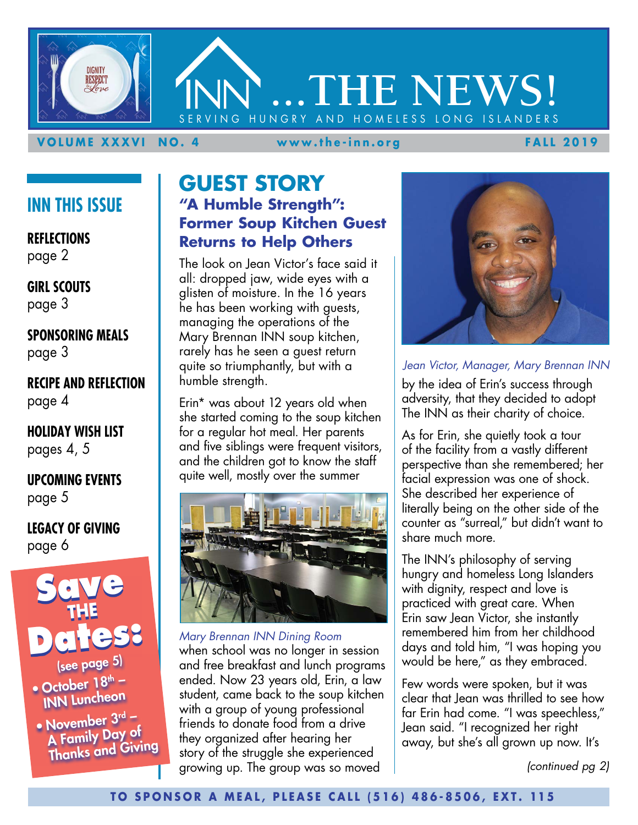

#### **VOLUME XXXVI NO. 4 www.the-inn.org FALL 2019**

# **INN THIS ISSUE**

**REFLECTIONS** page 2

**GIRL SCOUTS** page 3

**SPONSORING MEALS** page 3

**RECIPE AND REFLECTION** page 4

**HOLIDAY WISH LIST** pages 4, 5

**UPCOMING EVENTS** page 5

**LEGACY OF GIVING** page 6



• October  $18<sup>th</sup>$  – INN Luncheon

• November  $3<sup>rd</sup>$  – A Family Day of Thanks and Giving

# **GUEST STORY "A Humble Strength": Former Soup Kitchen Guest Returns to Help Others**

The look on Jean Victor's face said it all: dropped jaw, wide eyes with a glisten of moisture. In the 16 years he has been working with guests, managing the operations of the Mary Brennan INN soup kitchen, rarely has he seen a guest return quite so triumphantly, but with a humble strength.

Erin\* was about 12 years old when she started coming to the soup kitchen for a regular hot meal. Her parents and five siblings were frequent visitors, and the children got to know the staff quite well, mostly over the summer



when school was no longer in session and free breakfast and lunch programs ended. Now 23 years old, Erin, a law student, came back to the soup kitchen with a group of young professional friends to donate food from a drive they organized after hearing her story of the struggle she experienced growing up. The group was so moved *Mary Brennan INN Dining Room*



*Jean Victor, Manager, Mary Brennan INN*

by the idea of Erin's success through adversity, that they decided to adopt The INN as their charity of choice.

As for Erin, she quietly took a tour of the facility from a vastly different perspective than she remembered; her facial expression was one of shock. She described her experience of literally being on the other side of the counter as "surreal," but didn't want to share much more.

The INN's philosophy of serving hungry and homeless Long Islanders with dignity, respect and love is practiced with great care. When Erin saw Jean Victor, she instantly remembered him from her childhood days and told him, "I was hoping you would be here," as they embraced.

Few words were spoken, but it was clear that Jean was thrilled to see how far Erin had come. "I was speechless," Jean said. "I recognized her right away, but she's all grown up now. It's

*(continued pg 2)*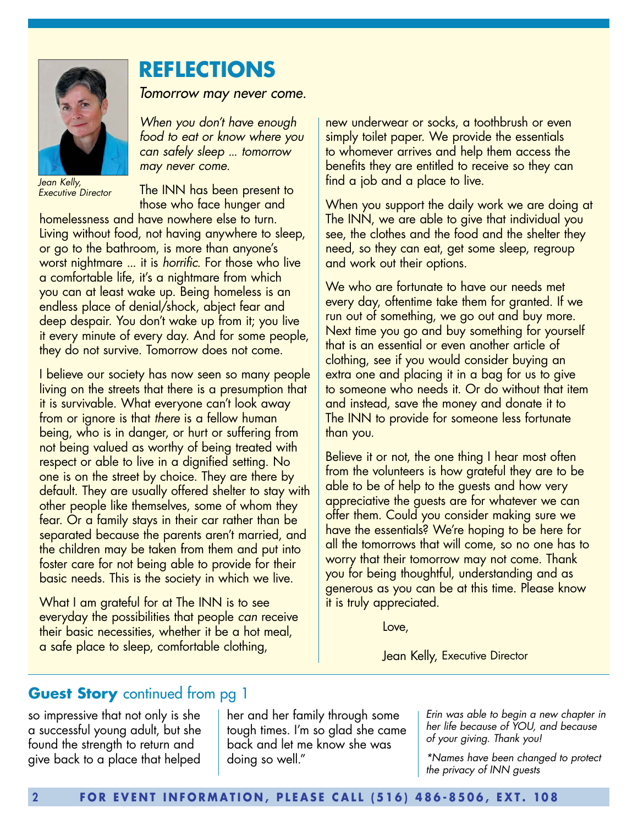

*Jean Kelly, Executive Director* 

# **REFLECTIONS**

*Tomorrow may never come.*

*When you don't have enough food to eat or know where you can safely sleep ... tomorrow may never come.*

The INN has been present to those who face hunger and

homelessness and have nowhere else to turn. Living without food, not having anywhere to sleep, or go to the bathroom, is more than anyone's worst nightmare ... it is *horrific*. For those who live a comfortable life, it's a nightmare from which you can at least wake up. Being homeless is an endless place of denial/shock, abject fear and deep despair. You don't wake up from it; you live it every minute of every day. And for some people, they do not survive. Tomorrow does not come.

I believe our society has now seen so many people living on the streets that there is a presumption that it is survivable. What everyone can't look away from or ignore is that *there* is a fellow human being, who is in danger, or hurt or suffering from not being valued as worthy of being treated with respect or able to live in a dignified setting. No one is on the street by choice. They are there by default. They are usually offered shelter to stay with other people like themselves, some of whom they fear. Or a family stays in their car rather than be separated because the parents aren't married, and the children may be taken from them and put into foster care for not being able to provide for their basic needs. This is the society in which we live.

What I am grateful for at The INN is to see everyday the possibilities that people *can* receive their basic necessities, whether it be a hot meal, a safe place to sleep, comfortable clothing,

new underwear or socks, a toothbrush or even simply toilet paper. We provide the essentials to whomever arrives and help them access the benefits they are entitled to receive so they can find a job and a place to live.

When you support the daily work we are doing at The INN, we are able to give that individual you see, the clothes and the food and the shelter they need, so they can eat, get some sleep, regroup and work out their options.

We who are fortunate to have our needs met every day, oftentime take them for granted. If we run out of something, we go out and buy more. Next time you go and buy something for yourself that is an essential or even another article of clothing, see if you would consider buying an extra one and placing it in a bag for us to give to someone who needs it. Or do without that item and instead, save the money and donate it to The INN to provide for someone less fortunate than you.

Believe it or not, the one thing I hear most often from the volunteers is how grateful they are to be able to be of help to the guests and how very appreciative the guests are for whatever we can offer them. Could you consider making sure we have the essentials? We're hoping to be here for all the tomorrows that will come, so no one has to worry that their tomorrow may not come. Thank you for being thoughtful, understanding and as generous as you can be at this time. Please know it is truly appreciated.

Love,

Jean Kelly, Executive Director

## **Guest Story** continued from pg 1

so impressive that not only is she a successful young adult, but she found the strength to return and give back to a place that helped

her and her family through some tough times. I'm so glad she came back and let me know she was doing so well."

*Erin was able to begin a new chapter in her life because of YOU, and because of your giving. Thank you!*

*\*Names have been changed to protect the privacy of INN guests*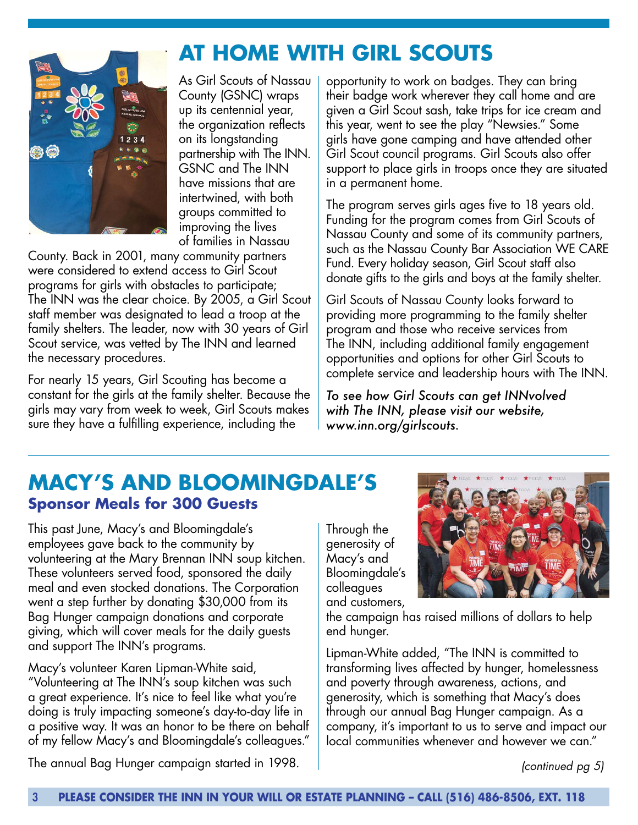As Girl Scouts of Nassau County (GSNC) wraps up its centennial year, the organization reflects on its longstanding partnership with The INN. GSNC and The INN have missions that are intertwined, with both groups committed to improving the lives of families in Nassau

**AT HOME WITH GIRL SCOUTS**

County. Back in 2001, many community partners were considered to extend access to Girl Scout programs for girls with obstacles to participate; The INN was the clear choice. By 2005, a Girl Scout staff member was designated to lead a troop at the family shelters. The leader, now with 30 years of Girl Scout service, was vetted by The INN and learned the necessary procedures.

For nearly 15 years, Girl Scouting has become a constant for the girls at the family shelter. Because the girls may vary from week to week, Girl Scouts makes sure they have a fulfilling experience, including the

opportunity to work on badges. They can bring their badge work wherever they call home and are given a Girl Scout sash, take trips for ice cream and this year, went to see the play "Newsies." Some girls have gone camping and have attended other Girl Scout council programs. Girl Scouts also offer support to place girls in troops once they are situated in a permanent home.

The program serves girls ages five to 18 years old. Funding for the program comes from Girl Scouts of Nassau County and some of its community partners, such as the Nassau County Bar Association WE CARE Fund. Every holiday season, Girl Scout staff also donate gifts to the girls and boys at the family shelter.

Girl Scouts of Nassau County looks forward to providing more programming to the family shelter program and those who receive services from The INN, including additional family engagement opportunities and options for other Girl Scouts to complete service and leadership hours with The INN.

*To see how Girl Scouts can get INNvolved with The INN, please visit our website, www.inn.org/girlscouts.*

# **MACY'S AND BLOOMINGDALE'S Sponsor Meals for 300 Guests**

This past June, Macy's and Bloomingdale's employees gave back to the community by volunteering at the Mary Brennan INN soup kitchen. These volunteers served food, sponsored the daily meal and even stocked donations. The Corporation went a step further by donating \$30,000 from its Bag Hunger campaign donations and corporate giving, which will cover meals for the daily guests and support The INN's programs.

Macy's volunteer Karen Lipman-White said, "Volunteering at The INN's soup kitchen was such a great experience. It's nice to feel like what you're doing is truly impacting someone's day-to-day life in a positive way. It was an honor to be there on behalf of my fellow Macy's and Bloomingdale's colleagues." Through the generosity of Macy's and Bloomingdale's colleagues and customers,



the campaign has raised millions of dollars to help end hunger.

Lipman-White added, "The INN is committed to transforming lives affected by hunger, homelessness and poverty through awareness, actions, and generosity, which is something that Macy's does through our annual Bag Hunger campaign. As a company, it's important to us to serve and impact our local communities whenever and however we can."

*(continued pg 5)*

The annual Bag Hunger campaign started in 1998.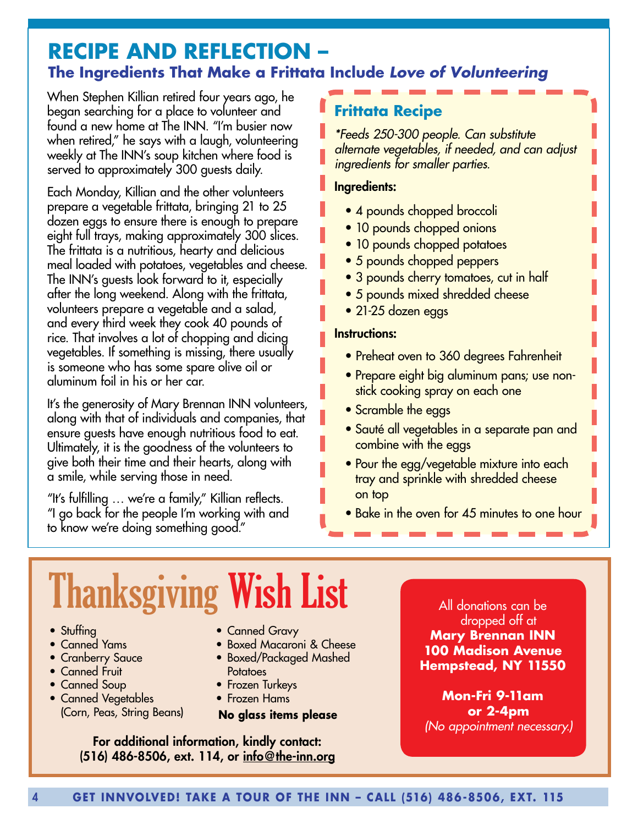# **RECIPE AND REFLECTION – The Ingredients That Make a Frittata Include** *Love of Volunteering*

When Stephen Killian retired four years ago, he began searching for a place to volunteer and found a new home at The INN. "I'm busier now when retired," he says with a laugh, volunteering weekly at The INN's soup kitchen where food is served to approximately 300 guests daily.

Each Monday, Killian and the other volunteers prepare a vegetable frittata, bringing 21 to 25 dozen eggs to ensure there is enough to prepare eight full trays, making approximately 300 slices. The frittata is a nutritious, hearty and delicious meal loaded with potatoes, vegetables and cheese. The INN's guests look forward to it, especially after the long weekend. Along with the frittata, volunteers prepare a vegetable and a salad, and every third week they cook 40 pounds of rice. That involves a lot of chopping and dicing vegetables. If something is missing, there usually is someone who has some spare olive oil or aluminum foil in his or her car.

It's the generosity of Mary Brennan INN volunteers, along with that of individuals and companies, that ensure guests have enough nutritious food to eat. Ultimately, it is the goodness of the volunteers to give both their time and their hearts, along with a smile, while serving those in need.

"It's fulfilling … we're a family," Killian reflects. "I go back for the people I'm working with and to know we're doing something good."

# **Frittata Recipe**

*\*Feeds 250-300 people. Can substitute alternate vegetables, if needed, and can adjust ingredients for smaller parties.*

#### Ingredients:

- 4 pounds chopped broccoli
- 10 pounds chopped onions
- 10 pounds chopped potatoes
- 5 pounds chopped peppers
- 3 pounds cherry tomatoes, cut in half
- 5 pounds mixed shredded cheese
- 21-25 dozen eggs

#### Instructions:

- Preheat oven to 360 degrees Fahrenheit
- Prepare eight big aluminum pans; use nonstick cooking spray on each one
- Scramble the eggs
- Sauté all vegetables in a separate pan and combine with the eggs
- Pour the egg/vegetable mixture into each tray and sprinkle with shredded cheese on top
- Bake in the oven for 45 minutes to one hour

# Thanksgiving Wish List

- Stuffing
- Canned Yams
- Cranberry Sauce
- Canned Fruit
- Canned Soup
- Canned Vegetables (Corn, Peas, String Beans)
- Canned Gravy
- Boxed Macaroni & Cheese
- Boxed/Packaged Mashed **Potatoes**
- Frozen Turkeys
- Frozen Hams

#### **No glass items please**

For additional information, kindly contact:  $(516)$  486-8506, ext. 114, or info@the-inn.org

All donations can be dropped off at **Mary Brennan INN 100 Madison Avenue Hempstead, NY 11550**

**Mon-Fri 9-11am or 2-4pm** *(No appointment necessary.)*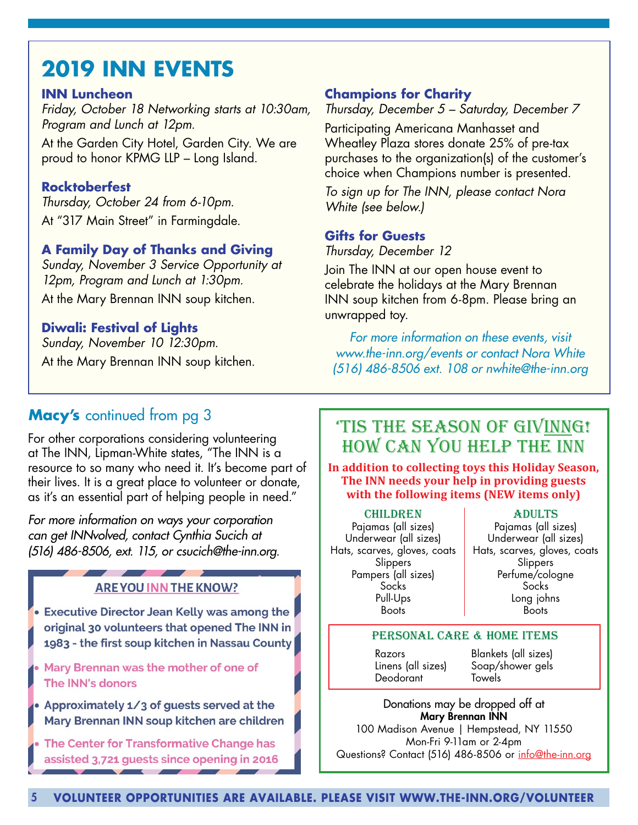# **2019 INN EVENTS**

#### **INN Luncheon**

*Friday, October 18 Networking starts at 10:30am, Program and Lunch at 12pm.*  At the Garden City Hotel, Garden City. We are proud to honor KPMG LLP – Long Island.

#### **Rocktoberfest**

*Thursday, October 24 from 6-10pm.* At "317 Main Street" in Farmingdale.

#### **A Family Day of Thanks and Giving**

*Sunday, November 3 Service Opportunity at 12pm, Program and Lunch at 1:30pm.* At the Mary Brennan INN soup kitchen.

#### **Diwali: Festival of Lights**

*Sunday, November 10 12:30pm.* At the Mary Brennan INN soup kitchen.

#### **Champions for Charity**

#### *Thursday, December 5 – Saturday, December 7*

Participating Americana Manhasset and Wheatley Plaza stores donate 25% of pre-tax purchases to the organization(s) of the customer's choice when Champions number is presented.

*To sign up for The INN, please contact Nora White (see below.)*

#### **Gifts for Guests**

*Thursday, December 12*

Join The INN at our open house event to celebrate the holidays at the Mary Brennan INN soup kitchen from 6-8pm. Please bring an unwrapped toy.

*For more information on these events, visit www.the-inn.org/events or contact Nora White (516) 486-8506 ext. 108 or nwhite@the-inn.org*

## **Macy's** continued from pg 3

For other corporations considering volunteering at The INN, Lipman-White states, "The INN is a resource to so many who need it. It's become part of their lives. It is a great place to volunteer or donate, as it's an essential part of helping people in need."

*For more information on ways your corporation can get INNvolved, contact Cynthia Sucich at (516) 486-8506, ext. 115, or csucich@the-inn.org.* 

#### **ARE YOU INN THE KNOW?**

• Executive Director Jean Kelly was among the original 30 volunteers that opened The INN in 1983 - the first soup kitchen in Nassau County

- Mary Brennan was the mother of one of The INN's donors
- Approximately 1/3 of guests served at the Mary Brennan INN soup kitchen are children
- The Center for Transformative Change has assisted 3,721 quests since opening in 2016

## 'TIS THE SEASON OF GIVINNG! HOW CAN YOU HELP THE INN

**In addition to collecting toys this Holiday Season, The INN needs your help in providing guests with the following items (NEW items only)**

#### **CHILDREN**

Pajamas (all sizes) Underwear (all sizes) Hats, scarves, gloves, coats **Slippers** Pampers (all sizes) Socks Pull-Ups Boots

#### Adults

Pajamas (all sizes) Underwear (all sizes) Hats, scarves, gloves, coats **Slippers** Perfume/cologne Socks Long johns Boots

#### PERSONAL CARE & HOME ITEMS

Razors Linens (all sizes) Deodorant

Blankets (all sizes) Soap/shower gels **Towels** 

Donations may be dropped off at Mary Brennan INN 100 Madison Avenue | Hempstead, NY 11550 Mon-Fri 9-11am or 2-4pm Questions? Contact (516) 486-8506 or info@the-inn.org